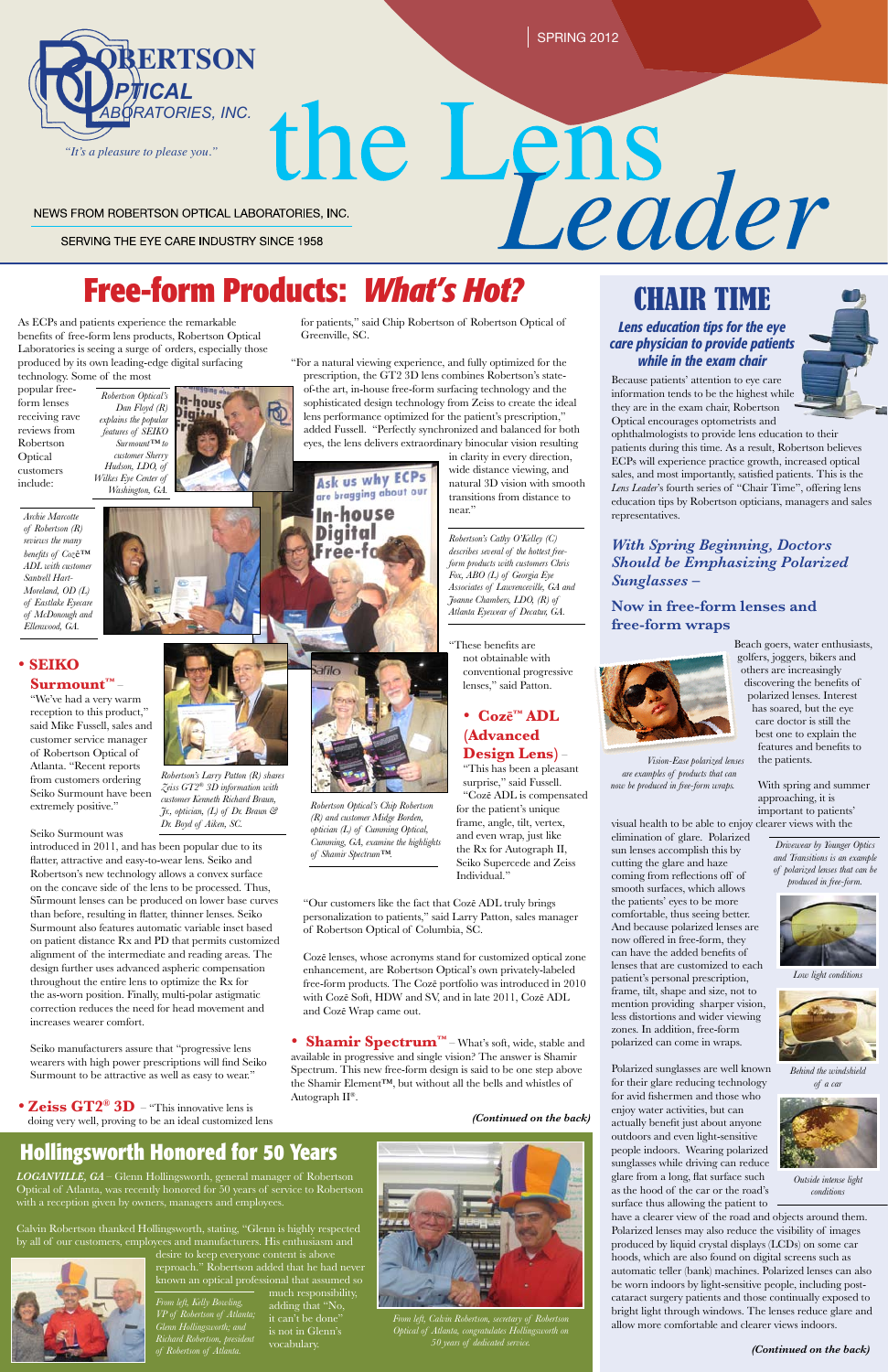SPRING 2012

SERVING THE EYE CARE INDUSTRY SINCE 1958

n-hous Digita

# the Lens<br>
Leader NEWS FROM ROBERTSON OPTICAL LABORATORIES, INC.

#### *(Continued on the back)*

## CHAIR TIME

### *Lens education tips for the eye care physician to provide patients while in the exam chair*

# **Free-form Products:** *What's Hot?*

As ECPs and patients experience the remarkable benefits of free-form lens products, Robertson Optical Laboratories is seeing a surge of orders, especially those produced by its own leading-edge digital surfacing technology. Some of the most

popular freeform lenses receiving rave reviews from Robertson **Optical** customers include:

## • **SEIKO**

**Surmount™** – "We've had a very warm reception to this product," said Mike Fussell, sales and customer service manager of Robertson Optical of Atlanta. "Recent reports from customers ordering Seiko Surmount have been extremely positive."

Seiko Surmount was

• Zeiss GT2<sup>®</sup> 3D – "This innovative lens is doing very well, proving to be an ideal customized lens

introduced in 2011, and has been popular due to its flatter, attractive and easy-to-wear lens. Seiko and Robertson's new technology allows a convex surface on the concave side of the lens to be processed. Thus, Surmount lenses can be produced on lower base curves than before, resulting in flatter, thinner lenses. Seiko Surmount also features automatic variable inset based on patient distance Rx and PD that permits customized alignment of the intermediate and reading areas. The design further uses advanced aspheric compensation throughout the entire lens to optimize the Rx for the as-worn position. Finally, multi-polar astigmatic

correction reduces the need for head movement and increases wearer comfort.

Seiko manufacturers assure that "progressive lens wearers with high power prescriptions will find Seiko Surmount to be attractive as well as easy to wear."

*LOGANVILLE, GA –* Glenn Hollingsworth, general manager of Robertson Optical of Atlanta, was recently honored for 50 years of service to Robertson with a reception given by owners, managers and employees.

Calvin Robertson thanked Hollingsworth, stating, "Glenn is highly respected by all of our customers, employees and manufacturers. His enthusiasm and

desire to keep everyone content is above reproach." Robertson added that he had never known an optical professional that assumed so

## **Hollingsworth Honored for 50 Years**

Because patients' attention to eye care information tends to be the highest while they are in the exam chair, Robertson Optical encourages optometrists and

ophthalmologists to provide lens education to their patients during this time. As a result, Robertson believes ECPs will experience practice growth, increased optical sales, and most importantly, satisfied patients. This is the *Lens Leader*'s fourth series of "Chair Time", offering lens education tips by Robertson opticians, managers and sales representatives.

## *With Spring Beginning, Doctors Should be Emphasizing Polarized Sunglasses –*

## **Now in free-form lenses and free-form wraps**



Beach goers, water enthusiasts, golfers, joggers, bikers and others are increasingly discovering the benefits of polarized lenses. Interest has soared, but the eye care doctor is still the best one to explain the features and benefits to the patients.

> With spring and summer approaching, it is important to patients'

visual health to be able to enjoy clearer views with the elimination of glare. Polarized sun lenses accomplish this by cutting the glare and haze coming from reflections off of smooth surfaces, which allows the patients' eyes to be more comfortable, thus seeing better. And because polarized lenses are now offered in free-form, they can have the added benefits of lenses that are customized to each patient's personal prescription, frame, tilt, shape and size, not to mention providing sharper vision,

less distortions and wider viewing zones. In addition, free-form polarized can come in wraps.

Polarized sunglasses are well known for their glare reducing technology for avid fishermen and those who enjoy water activities, but can actually benefit just about anyone outdoors and even light-sensitive people indoors. Wearing polarized sunglasses while driving can reduce glare from a long, flat surface such as the hood of the car or the road's surface thus allowing the patient to

much responsibility, adding that "No, is not in Glenn's vocabulary. *VP of Robertson of Atlanta; Glenn Hollingsworth; and Richard Robertson, president* 

have a clearer view of the road and objects around them. Polarized lenses may also reduce the visibility of images produced by liquid crystal displays (LCDs) on some car hoods, which are also found on digital screens such as automatic teller (bank) machines. Polarized lenses can also be worn indoors by light-sensitive people, including postcataract surgery patients and those continually exposed to bright light through windows. The lenses reduce glare and allow more comfortable and clearer views indoors.

for patients," said Chip Robertson of Robertson Optical of Greenville, SC.

"For a natural viewing experience, and fully optimized for the prescription, the GT2 3D lens combines Robertson's stateof-the art, in-house free-form surfacing technology and the sophisticated design technology from Zeiss to create the ideal lens performance optimized for the patient's prescription," added Fussell. "Perfectly synchronized and balanced for both eyes, the lens delivers extraordinary binocular vision resulting

in clarity in every direction, wide distance viewing, and natural 3D vision with smooth transitions from distance to near."

"These benefits are not obtainable with conventional progressive lenses," said Patton.

## • **Cozē™ ADL (Advanced Design Lens)** –

"This has been a pleasant surprise," said Fussell. "Cozē ADL is compensated for the patient's unique frame, angle, tilt, vertex, and even wrap, just like the Rx for Autograph II, Seiko Supercede and Zeiss Individual."

"Our customers like the fact that Cozē ADL truly brings personalization to patients," said Larry Patton, sales manager of Robertson Optical of Columbia, SC.

Cozē lenses, whose acronyms stand for customized optical zone enhancement, are Robertson Optical's own privately-labeled free-form products. The Cozē portfolio was introduced in 2010 with Cozē Soft, HDW and SV, and in late 2011, Cozē ADL

and Cozē Wrap came out.

• **Shamir Spectrum™** – What's soft, wide, stable and available in progressive and single vision? The answer is Shamir Spectrum. This new free-form design is said to be one step above the Shamir Element™, but without all the bells and whistles of Autograph II®.

#### *(Continued on the back)*



*From left, Calvin Robertson, secretary of Robertson Optical of Atlanta, congratulates Hollingsworth on 50 years of dedicated service.* 

*From left, Kelly Bowling,* 

*of Robertson of Atlanta.*



*Drivewear by Younger Optics and Transitions is an example of polarized lenses that can be produced in free-form.*

*Vision-Ease polarized lenses are examples of products that can now be produced in free-form wraps.*



*Low light conditions*





*Behind the windshield of a car*



*Outside intense light conditions*

*Archie Marcotte of Robertson (R) reviews the many benefits of Coz*ē*™ ADL with customer Santrell Hart-Moreland, OD (L) of Eastlake Eyecare of McDonough and Ellenwood, GA.* 

*Robertson Optical's Chip Robertson (R) and customer Midge Borden, optician (L) of Cumming Optical, Cumming, GA, examine the highlights* 

*of Shamir Spectrum™.*



*Zeiss GT2® 3D information with customer Kenneth Richard Braun, Jr., optician, (L) of Dr. Braun & Dr. Boyd of Aiken, SC.*



Ask us why ECPs are bragging about our

*Robertson Optical's Dan Floyd (R) explains the popular features of SEIKO Surmount™ to customer Sherry Hudson, LDO, of Wilkes Eye Center of Washington, GA.* 

> *Robertson's Cathy O'Kelley (C) describes several of the hottest freeform products with customers Chris Fox, ABO (L) of Georgia Eye Associates of Lawrenceville, GA and Joanne Chambers, LDO, (R) of Atlanta Eyewear of Decatur, GA.*